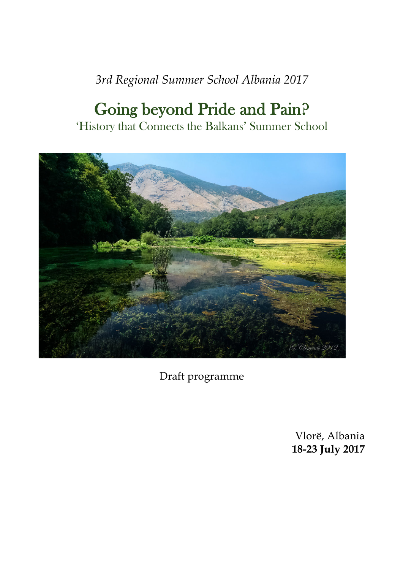# *3rd Regional Summer School Albania 2017*

# Going beyond Pride and Pain? 'History that Connects the Balkans' Summer School



Draft programme

Vlorë, Albania **18-23 July 2017**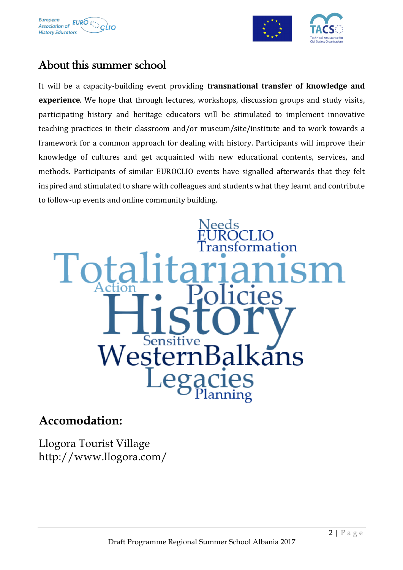



## About this summer school

It will be a capacity-building event providing **transnational transfer of knowledge and experience**. We hope that through lectures, workshops, discussion groups and study visits, participating history and heritage educators will be stimulated to implement innovative teaching practices in their classroom and/or museum/site/institute and to work towards a framework for a common approach for dealing with history. Participants will improve their knowledge of cultures and get acquainted with new educational contents, services, and methods. Participants of similar EUROCLIO events have signalled afterwards that they felt inspired and stimulated to share with colleagues and students what they learnt and contribute to follow-up events and online community building.



### **Accomodation:**

Llogora Tourist Village http://www.llogora.com/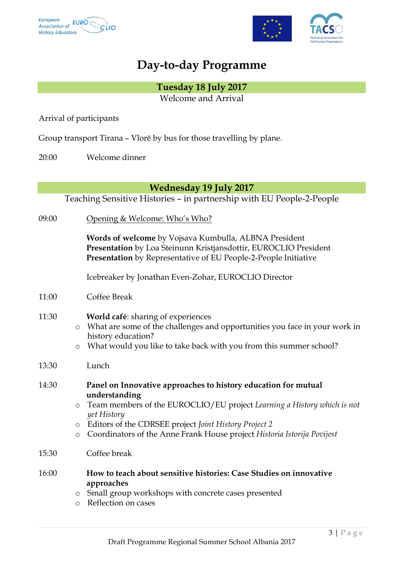



## **Day-to-day Programme**

**Tuesday 18 July 2017** Welcome and Arrival

Arrival of participants

Group transport Tirana – Vlorë by bus for those travelling by plane.

20:00 Welcome dinner

**Wednesday 19 July 2017**

Teaching Sensitive Histories – in partnership with EU People-2-People

09:00 Opening & Welcome: Who's Who?

**Words of welcome** by Vojsava Kumbulla, ALBNA President **Presentation** by Loa Steinunn Kristjansdottir, EUROCLIO President **Presentation** by Representative of EU People-2-People Initiative

Icebreaker by Jonathan Even-Zohar, EUROCLIO Director

11:00 Coffee Break

#### 11:30 **World café**: sharing of experiences

- o What are some of the challenges and opportunities you face in your work in history education?
- o What would you like to take back with you from this summer school?
- 13:30 Lunch

| 14:30 | Panel on Innovative approaches to history education for mutual |
|-------|----------------------------------------------------------------|
|       | understanding                                                  |

- o Team members of the EUROCLIO/EU project *Learning a History which is not yet History*
- o Editors of the CDRSEE project *Joint History Project 2*
- o Coordinators of the Anne Frank House project *Historia Istorija Povijest*
- 15:30 Coffee break
- 16:00 **How to teach about sensitive histories: Case Studies on innovative approaches**
	- o Small group workshops with concrete cases presented
	- o Reflection on cases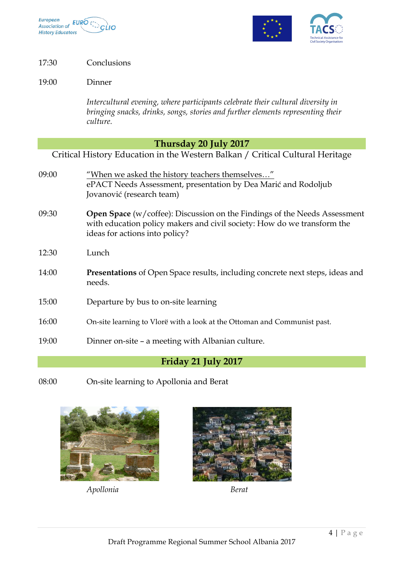



17:30 Conclusions

19:00 Dinner

*Intercultural evening, where participants celebrate their cultural diversity in bringing snacks, drinks, songs, stories and further elements representing their culture.*

#### **Thursday 20 July 2017**

Critical History Education in the Western Balkan / Critical Cultural Heritage

| 09:00 | "When we asked the history teachers themselves"<br>ePACT Needs Assessment, presentation by Dea Marić and Rodoljub<br>Jovanović (research team)                                         |
|-------|----------------------------------------------------------------------------------------------------------------------------------------------------------------------------------------|
| 09:30 | Open Space (w/coffee): Discussion on the Findings of the Needs Assessment<br>with education policy makers and civil society: How do we transform the<br>ideas for actions into policy? |
| 12:30 | Lunch                                                                                                                                                                                  |
| 14:00 | <b>Presentations</b> of Open Space results, including concrete next steps, ideas and<br>needs.                                                                                         |
| 15:00 | Departure by bus to on-site learning                                                                                                                                                   |
| 16:00 | On-site learning to Vlorë with a look at the Ottoman and Communist past.                                                                                                               |
| 19:00 | Dinner on-site – a meeting with Albanian culture.                                                                                                                                      |

#### **Friday 21 July 2017**

08:00 On-site learning to Apollonia and Berat



*Apollonia Berat*